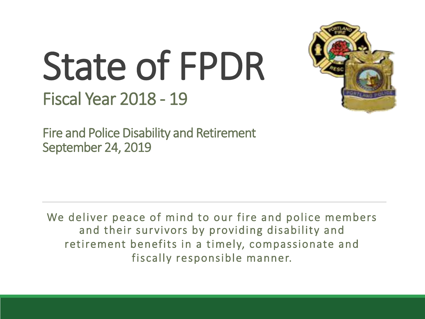# State of FPDR Fiscal Year 2018 - 19



Fire and Police Disability and Retirement September 24, 2019

We deliver peace of mind to our fire and police members and their survivors by providing disability and retirement benefits in a timely, compassionate and fiscally responsible manner.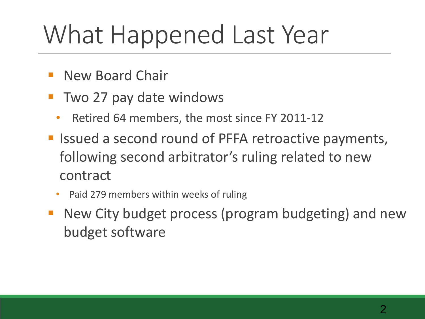### What Happened Last Year

- **New Board Chair**
- Two 27 pay date windows
	- Retired 64 members, the most since FY 2011-12
- **E** Issued a second round of PFFA retroactive payments, following second arbitrator's ruling related to new contract
	- Paid 279 members within weeks of ruling
- New City budget process (program budgeting) and new budget software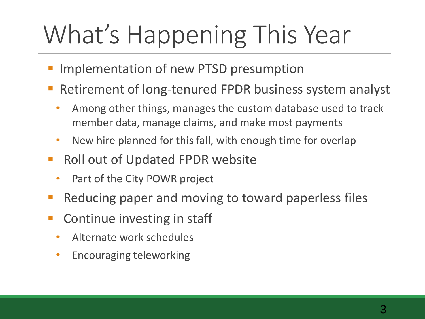## What's Happening This Year

- Implementation of new PTSD presumption
- Retirement of long-tenured FPDR business system analyst
	- Among other things, manages the custom database used to track member data, manage claims, and make most payments
	- New hire planned for this fall, with enough time for overlap
- Roll out of Updated FPDR website
	- Part of the City POWR project
- Reducing paper and moving to toward paperless files
- Continue investing in staff
	- Alternate work schedules
	- Encouraging teleworking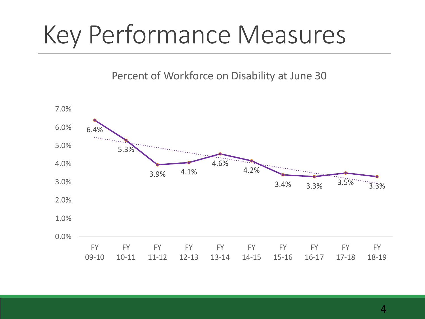Percent of Workforce on Disability at June 30

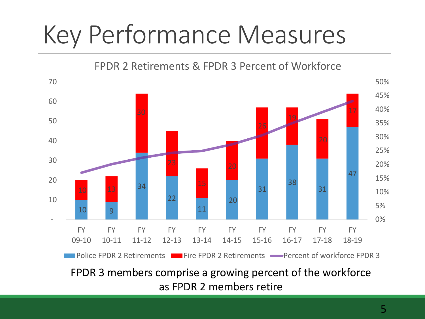FPDR 2 Retirements & FPDR 3 Percent of Workforce



as FPDR 2 members retire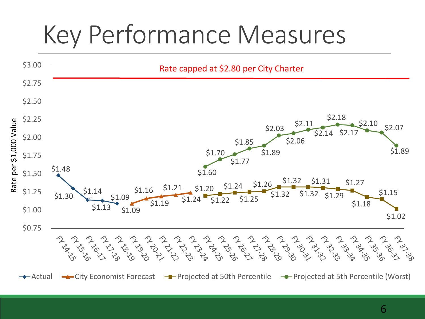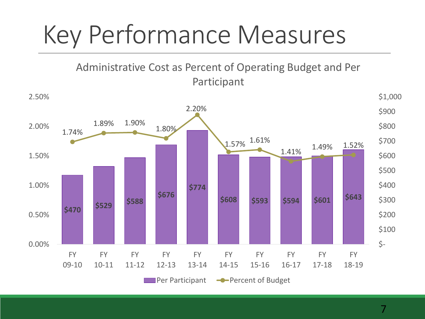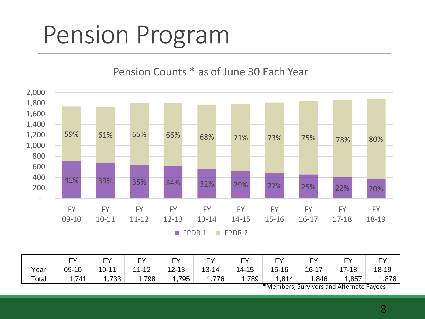Pension Counts \* as of June 30 Each Year



|       | ΓV.   | $\Gamma$  | rv        | <b>FY</b> | <b>CV</b> | <b>FV</b> | $\mathbf{r}$ | <b>EV</b> | cν.       | $\Gamma$ |
|-------|-------|-----------|-----------|-----------|-----------|-----------|--------------|-----------|-----------|----------|
| Year  | 09-10 | $10 - 11$ | $11 - 12$ | $12 - 13$ | $13 - 14$ | $14 - 15$ | $15 - 16$    | $16 - 17$ | $17 - 18$ | 18-19    |
| Total | ,741  | .733      | ,798      | i,795     | 1,776     | .789.     | 1,814        | ,846      | ,857      | 878, ا   |

\*Members, Survivors and Alternate Payees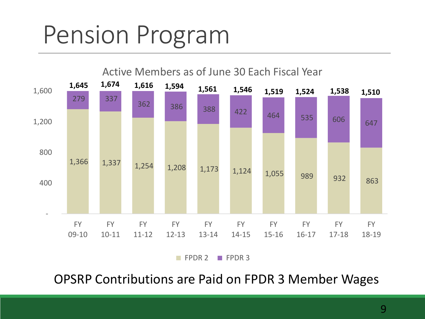

OPSRP Contributions are Paid on FPDR 3 Member Wages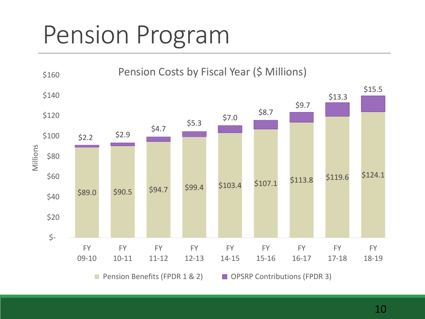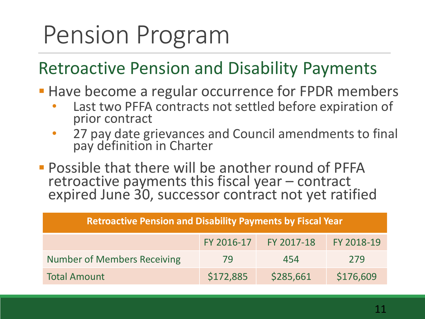#### Retroactive Pension and Disability Payments

- **Have become a regular occurrence for FPDR members** 
	- Last two PFFA contracts not settled before expiration of prior contract
	- 27 pay date grievances and Council amendments to final pay definition in Charter
- **Possible that there will be another round of PFFA** retroactive payments this fiscal year – contract expired June 30, successor contract not yet ratified

| <b>Retroactive Pension and Disability Payments by Fiscal Year</b> |            |            |            |  |  |  |  |
|-------------------------------------------------------------------|------------|------------|------------|--|--|--|--|
|                                                                   | FY 2016-17 | FY 2017-18 | FY 2018-19 |  |  |  |  |
| <b>Number of Members Receiving</b>                                | 79         | 454        | 279        |  |  |  |  |
| <b>Total Amount</b>                                               | \$172,885  | \$285,661  | \$176,609  |  |  |  |  |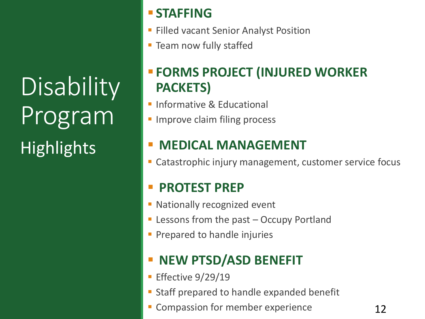**Disability** Program **Highlights** 

#### ▪ **STAFFING**

- **Eilled vacant Senior Analyst Position**
- **Exam now fully staffed**

#### ▪ **FORMS PROJECT (INJURED WORKER PACKETS)**

- **· Informative & Educational**
- **E** Improve claim filing process

#### **MEDICAL MANAGEMENT**

Catastrophic injury management, customer service focus

#### **PROTEST PREP**

- **Exercise 1 Nationally recognized event**
- **Exercise 1 Lessons from the past Occupy Portland**
- **Prepared to handle injuries**

#### **NEW PTSD/ASD BENEFIT**

- **Effective**  $9/29/19$
- Staff prepared to handle expanded benefit
- **EX Compassion for member experience**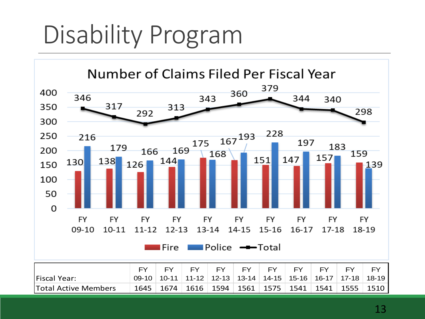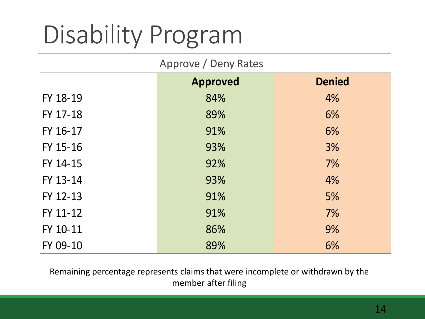#### Approve / Deny Rates

|                                                                                                        | <b>Approved</b> | <b>Denied</b> |  |  |  |  |
|--------------------------------------------------------------------------------------------------------|-----------------|---------------|--|--|--|--|
| FY 18-19                                                                                               | 84%             | 4%            |  |  |  |  |
| FY 17-18                                                                                               | 89%             | 6%            |  |  |  |  |
| FY 16-17                                                                                               | 91%             | 6%            |  |  |  |  |
| FY 15-16                                                                                               | 93%             | 3%            |  |  |  |  |
| FY 14-15                                                                                               | 92%             | 7%            |  |  |  |  |
| FY 13-14                                                                                               | 93%             | 4%            |  |  |  |  |
| FY 12-13                                                                                               | 91%             | 5%            |  |  |  |  |
| FY 11-12                                                                                               | 91%             | 7%            |  |  |  |  |
| FY 10-11                                                                                               | 86%             | 9%            |  |  |  |  |
| FY 09-10                                                                                               | 89%             | 6%            |  |  |  |  |
| Remaining percentage represents claims that were incomplete or withdrawn by the<br>member after filing |                 |               |  |  |  |  |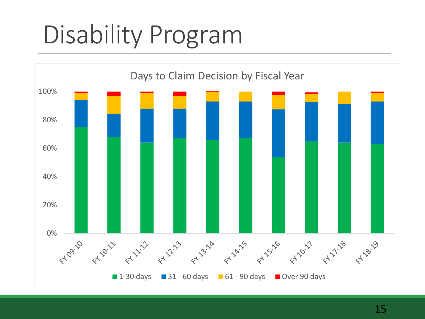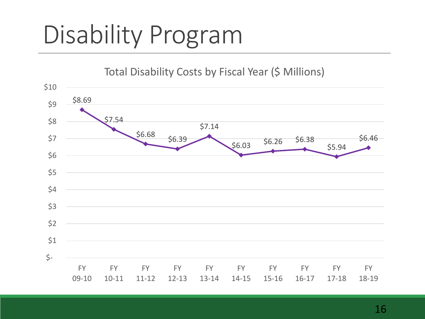Total Disability Costs by Fiscal Year (\$ Millions)

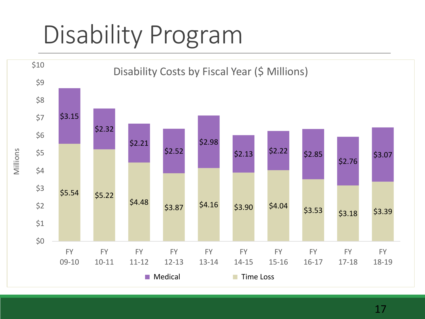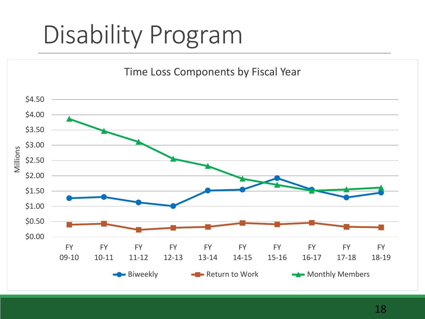Time Loss Components by Fiscal Year

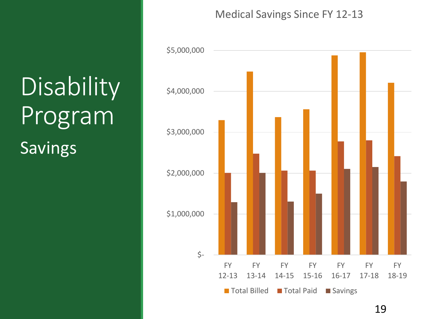## Disability Program Savings

#### Medical Savings Since FY 12-13

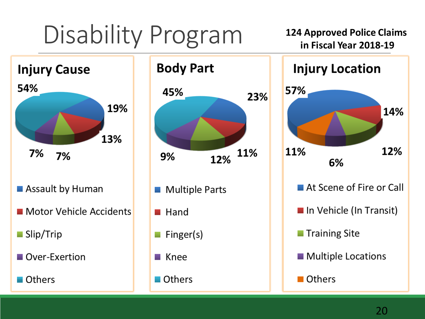**124 Approved Police Claims in Fiscal Year 2018-19**





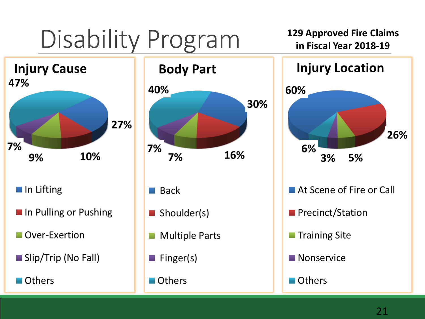**129 Approved Fire Claims in Fiscal Year 2018-19**





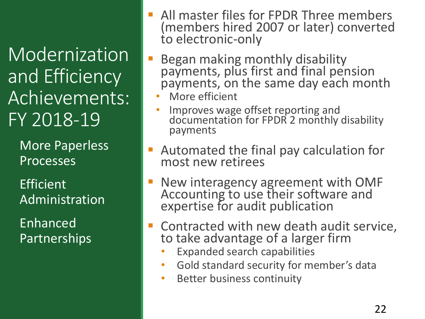Modernization and Efficiency Achievements: FY 2018-19

> More Paperless Processes

Efficient Administration

Enhanced Partnerships

- All master files for FPDR Three members (members hired 2007 or later) converted to electronic-only
- Began making monthly disability payments, plus first and final pension payments, on the same day each month
	- More efficient
	- Improves wage offset reporting and documentation for FPDR 2 monthly disability payments
- Automated the final pay calculation for most new retirees
- New interagency agreement with OMF Accounting to use their software and expertise for audit publication
- Contracted with new death audit service, to take advantage of a larger firm
	- Expanded search capabilities
	- Gold standard security for member's data
	- Better business continuity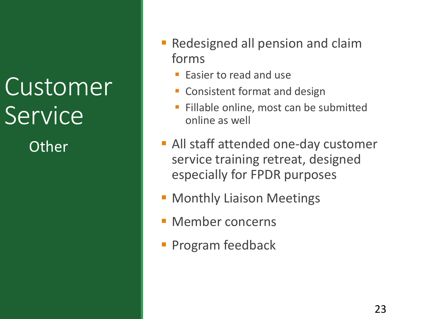#### Customer Service **Other**

- **Redesigned all pension and claim** forms
	- **Easier to read and use**
	- Consistent format and design
	- Fillable online, most can be submitted online as well
- All staff attended one-day customer service training retreat, designed especially for FPDR purposes
- **Monthly Liaison Meetings**
- **E** Member concerns
- **Program feedback**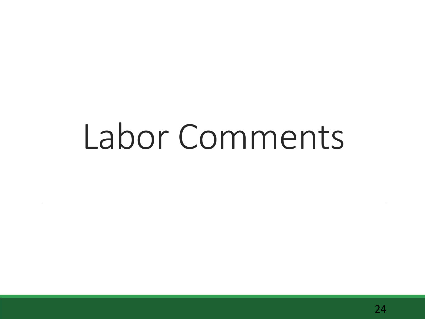# Labor Comments